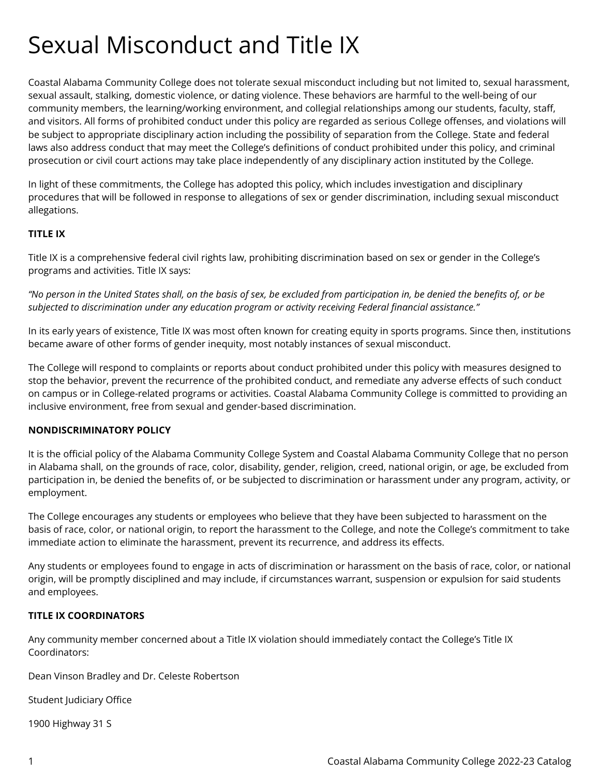# Sexual Misconduct and Title IX

Coastal Alabama Community College does not tolerate sexual misconduct including but not limited to, sexual harassment, sexual assault, stalking, domestic violence, or dating violence. These behaviors are harmful to the well-being of our community members, the learning/working environment, and collegial relationships among our students, faculty, staff, and visitors. All forms of prohibited conduct under this policy are regarded as serious College offenses, and violations will be subject to appropriate disciplinary action including the possibility of separation from the College. State and federal laws also address conduct that may meet the College's definitions of conduct prohibited under this policy, and criminal prosecution or civil court actions may take place independently of any disciplinary action instituted by the College.

In light of these commitments, the College has adopted this policy, which includes investigation and disciplinary procedures that will be followed in response to allegations of sex or gender discrimination, including sexual misconduct allegations.

# **TITLE IX**

Title IX is a comprehensive federal civil rights law, prohibiting discrimination based on sex or gender in the College's programs and activities. Title IX says:

*"No person in the United States shall, on the basis of sex, be excluded from participation in, be denied the benefits of, or be subjected to discrimination under any education program or activity receiving Federal financial assistance."* 

In its early years of existence, Title IX was most often known for creating equity in sports programs. Since then, institutions became aware of other forms of gender inequity, most notably instances of sexual misconduct.

The College will respond to complaints or reports about conduct prohibited under this policy with measures designed to stop the behavior, prevent the recurrence of the prohibited conduct, and remediate any adverse effects of such conduct on campus or in College-related programs or activities. Coastal Alabama Community College is committed to providing an inclusive environment, free from sexual and gender-based discrimination.

#### **NONDISCRIMINATORY POLICY**

It is the official policy of the Alabama Community College System and Coastal Alabama Community College that no person in Alabama shall, on the grounds of race, color, disability, gender, religion, creed, national origin, or age, be excluded from participation in, be denied the benefits of, or be subjected to discrimination or harassment under any program, activity, or employment.

The College encourages any students or employees who believe that they have been subjected to harassment on the basis of race, color, or national origin, to report the harassment to the College, and note the College's commitment to take immediate action to eliminate the harassment, prevent its recurrence, and address its effects.

Any students or employees found to engage in acts of discrimination or harassment on the basis of race, color, or national origin, will be promptly disciplined and may include, if circumstances warrant, suspension or expulsion for said students and employees.

# **TITLE IX COORDINATORS**

Any community member concerned about a Title IX violation should immediately contact the College's Title IX Coordinators:

Dean Vinson Bradley and Dr. Celeste Robertson

Student Judiciary Office

1900 Highway 31 S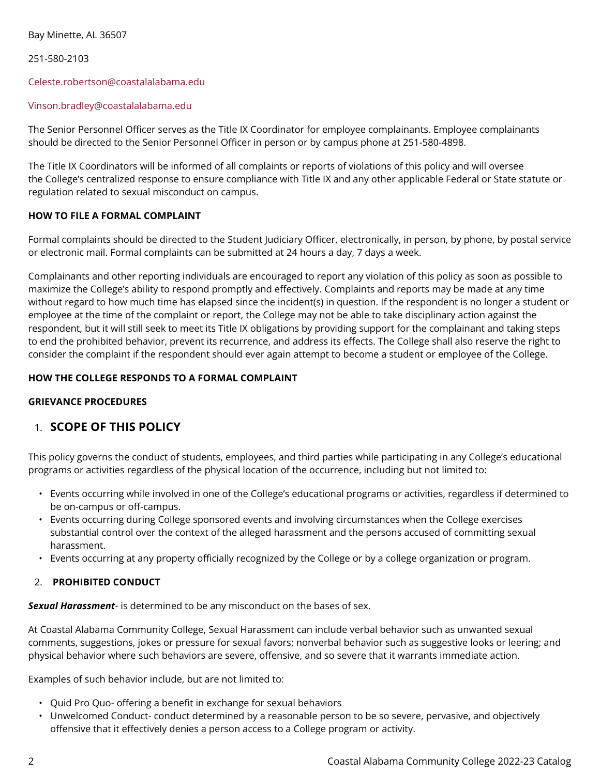Bay Minette, AL 36507

251-580-2103

#### [Celeste.robertson@coastalalabama.edu](mailto:Celeste.robertson@coastalalabama.edu)

#### [Vinson.bradley@coastalalabama.edu](mailto:Vinson.bradley@coastalalabama.edu)

The Senior Personnel Officer serves as the Title IX Coordinator for employee complainants. Employee complainants should be directed to the Senior Personnel Officer in person or by campus phone at 251-580-4898.

The Title IX Coordinators will be informed of all complaints or reports of violations of this policy and will oversee the College's centralized response to ensure compliance with Title IX and any other applicable Federal or State statute or regulation related to sexual misconduct on campus.

# **HOW TO FILE A FORMAL COMPLAINT**

Formal complaints should be directed to the Student Judiciary Officer, electronically, in person, by phone, by postal service or electronic mail. Formal complaints can be submitted at 24 hours a day, 7 days a week.

Complainants and other reporting individuals are encouraged to report any violation of this policy as soon as possible to maximize the College's ability to respond promptly and effectively. Complaints and reports may be made at any time without regard to how much time has elapsed since the incident(s) in question. If the respondent is no longer a student or employee at the time of the complaint or report, the College may not be able to take disciplinary action against the respondent, but it will still seek to meet its Title IX obligations by providing support for the complainant and taking steps to end the prohibited behavior, prevent its recurrence, and address its effects. The College shall also reserve the right to consider the complaint if the respondent should ever again attempt to become a student or employee of the College.

## **HOW THE COLLEGE RESPONDS TO A FORMAL COMPLAINT**

# **GRIEVANCE PROCEDURES**

# 1. **SCOPE OF THIS POLICY**

This policy governs the conduct of students, employees, and third parties while participating in any College's educational programs or activities regardless of the physical location of the occurrence, including but not limited to:

- Events occurring while involved in one of the College's educational programs or activities, regardless if determined to be on-campus or off-campus.
- Events occurring during College sponsored events and involving circumstances when the College exercises substantial control over the context of the alleged harassment and the persons accused of committing sexual harassment.
- Events occurring at any property officially recognized by the College or by a college organization or program.

# 2. **PROHIBITED CONDUCT**

*Sexual Harassment*- is determined to be any misconduct on the bases of sex.

At Coastal Alabama Community College, Sexual Harassment can include verbal behavior such as unwanted sexual comments, suggestions, jokes or pressure for sexual favors; nonverbal behavior such as suggestive looks or leering; and physical behavior where such behaviors are severe, offensive, and so severe that it warrants immediate action.

Examples of such behavior include, but are not limited to:

- Quid Pro Quo- offering a benefit in exchange for sexual behaviors
- Unwelcomed Conduct- conduct determined by a reasonable person to be so severe, pervasive, and objectively offensive that it effectively denies a person access to a College program or activity.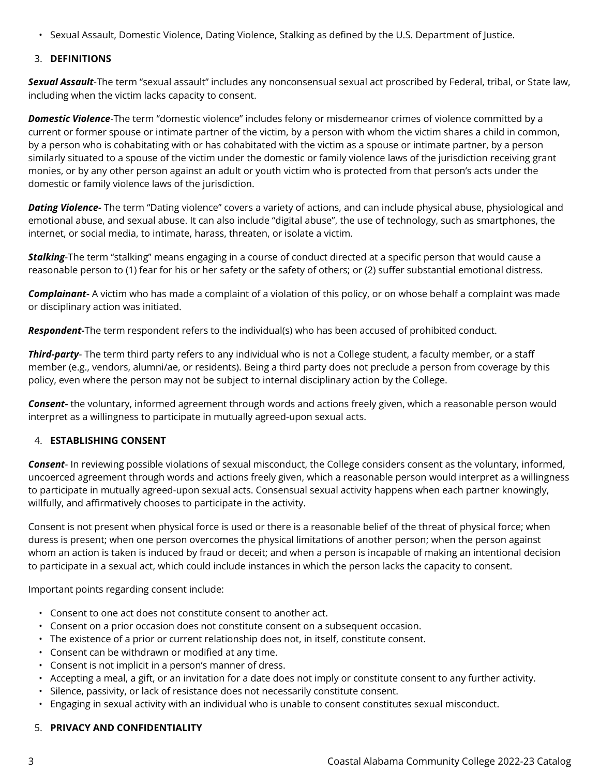• Sexual Assault, Domestic Violence, Dating Violence, Stalking as defined by the U.S. Department of Justice.

## 3. **DEFINITIONS**

*Sexual Assault*-The term "sexual assault" includes any nonconsensual sexual act proscribed by Federal, tribal, or State law, including when the victim lacks capacity to consent.

*Domestic Violence*-The term "domestic violence" includes felony or misdemeanor crimes of violence committed by a current or former spouse or intimate partner of the victim, by a person with whom the victim shares a child in common, by a person who is cohabitating with or has cohabitated with the victim as a spouse or intimate partner, by a person similarly situated to a spouse of the victim under the domestic or family violence laws of the jurisdiction receiving grant monies, or by any other person against an adult or youth victim who is protected from that person's acts under the domestic or family violence laws of the jurisdiction.

*Dating Violence-* The term "Dating violence" covers a variety of actions, and can include physical abuse, physiological and emotional abuse, and sexual abuse. It can also include "digital abuse", the use of technology, such as smartphones, the internet, or social media, to intimate, harass, threaten, or isolate a victim.

*Stalking*-The term ''stalking'' means engaging in a course of conduct directed at a specific person that would cause a reasonable person to (1) fear for his or her safety or the safety of others; or (2) suffer substantial emotional distress.

*Complainant-* A victim who has made a complaint of a violation of this policy, or on whose behalf a complaint was made or disciplinary action was initiated.

*Respondent-*The term respondent refers to the individual(s) who has been accused of prohibited conduct.

*Third-party*- The term third party refers to any individual who is not a College student, a faculty member, or a staff member (e.g., vendors, alumni/ae, or residents). Being a third party does not preclude a person from coverage by this policy, even where the person may not be subject to internal disciplinary action by the College.

*Consent-* the voluntary, informed agreement through words and actions freely given, which a reasonable person would interpret as a willingness to participate in mutually agreed-upon sexual acts.

#### 4. **ESTABLISHING CONSENT**

*Consent*- In reviewing possible violations of sexual misconduct, the College considers consent as the voluntary, informed, uncoerced agreement through words and actions freely given, which a reasonable person would interpret as a willingness to participate in mutually agreed-upon sexual acts. Consensual sexual activity happens when each partner knowingly, willfully, and affirmatively chooses to participate in the activity.

Consent is not present when physical force is used or there is a reasonable belief of the threat of physical force; when duress is present; when one person overcomes the physical limitations of another person; when the person against whom an action is taken is induced by fraud or deceit; and when a person is incapable of making an intentional decision to participate in a sexual act, which could include instances in which the person lacks the capacity to consent.

Important points regarding consent include:

- Consent to one act does not constitute consent to another act.
- Consent on a prior occasion does not constitute consent on a subsequent occasion.
- The existence of a prior or current relationship does not, in itself, constitute consent.
- Consent can be withdrawn or modified at any time.
- Consent is not implicit in a person's manner of dress.
- Accepting a meal, a gift, or an invitation for a date does not imply or constitute consent to any further activity.
- Silence, passivity, or lack of resistance does not necessarily constitute consent.
- Engaging in sexual activity with an individual who is unable to consent constitutes sexual misconduct.

#### 5. **PRIVACY AND CONFIDENTIALITY**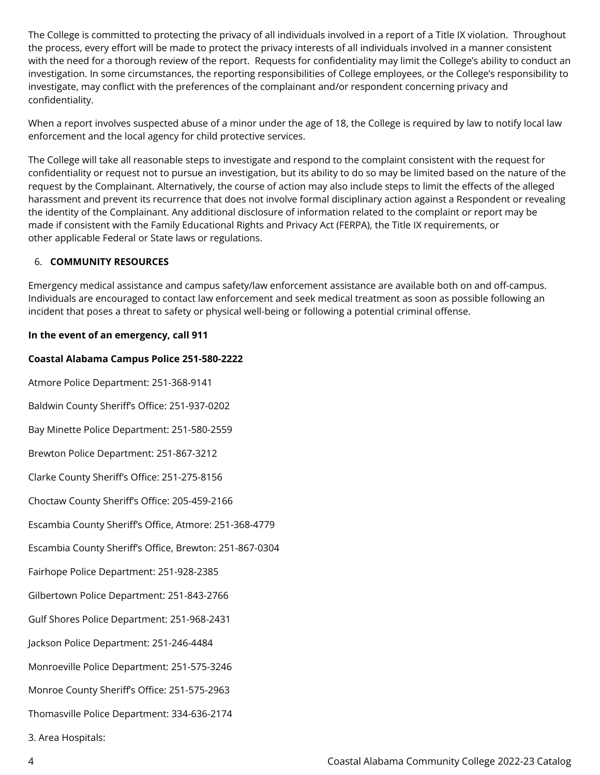The College is committed to protecting the privacy of all individuals involved in a report of a Title IX violation. Throughout the process, every effort will be made to protect the privacy interests of all individuals involved in a manner consistent with the need for a thorough review of the report. Requests for confidentiality may limit the College's ability to conduct an investigation. In some circumstances, the reporting responsibilities of College employees, or the College's responsibility to investigate, may conflict with the preferences of the complainant and/or respondent concerning privacy and confidentiality.

When a report involves suspected abuse of a minor under the age of 18, the College is required by law to notify local law enforcement and the local agency for child protective services.

The College will take all reasonable steps to investigate and respond to the complaint consistent with the request for confidentiality or request not to pursue an investigation, but its ability to do so may be limited based on the nature of the request by the Complainant. Alternatively, the course of action may also include steps to limit the effects of the alleged harassment and prevent its recurrence that does not involve formal disciplinary action against a Respondent or revealing the identity of the Complainant. Any additional disclosure of information related to the complaint or report may be made if consistent with the Family Educational Rights and Privacy Act (FERPA), the Title IX requirements, or other applicable Federal or State laws or regulations.

## 6. **COMMUNITY RESOURCES**

Emergency medical assistance and campus safety/law enforcement assistance are available both on and off-campus. Individuals are encouraged to contact law enforcement and seek medical treatment as soon as possible following an incident that poses a threat to safety or physical well-being or following a potential criminal offense.

## **In the event of an emergency, call 911**

#### **Coastal Alabama Campus Police 251-580-2222**

Atmore Police Department: 251-368-9141 Baldwin County Sheriff's Office: 251-937-0202 Bay Minette Police Department: 251-580-2559 Brewton Police Department: 251-867-3212 Clarke County Sheriff's Office: 251-275-8156 Choctaw County Sheriff's Office: 205-459-2166 Escambia County Sheriff's Office, Atmore: 251-368-4779 Escambia County Sheriff's Office, Brewton: 251-867-0304 Fairhope Police Department: 251-928-2385 Gilbertown Police Department: 251-843-2766 Gulf Shores Police Department: 251-968-2431 Jackson Police Department: 251-246-4484 Monroeville Police Department: 251-575-3246 Monroe County Sheriff's Office: 251-575-2963 Thomasville Police Department: 334-636-2174

3. Area Hospitals: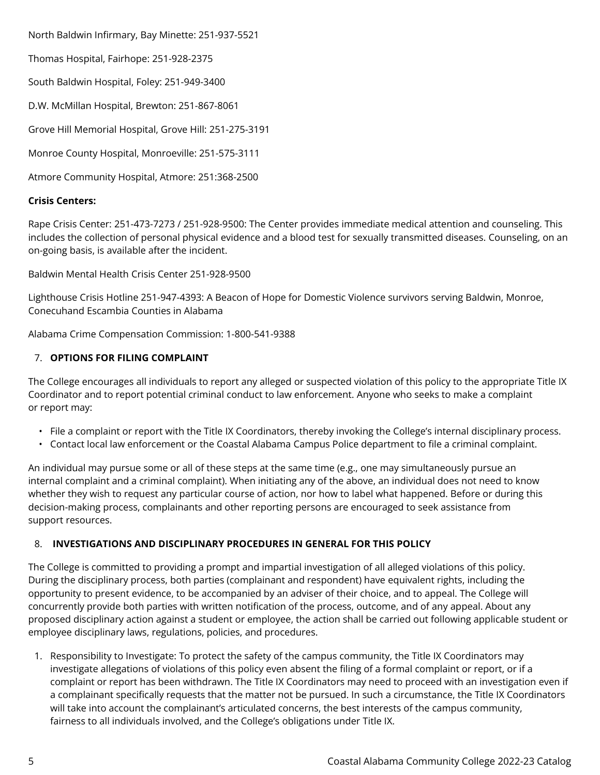North Baldwin Infirmary, Bay Minette: 251-937-5521

Thomas Hospital, Fairhope: 251-928-2375

South Baldwin Hospital, Foley: 251-949-3400

D.W. McMillan Hospital, Brewton: 251-867-8061

Grove Hill Memorial Hospital, Grove Hill: 251-275-3191

Monroe County Hospital, Monroeville: 251-575-3111

Atmore Community Hospital, Atmore: 251:368-2500

## **Crisis Centers:**

Rape Crisis Center: 251-473-7273 / 251-928-9500: The Center provides immediate medical attention and counseling. This includes the collection of personal physical evidence and a blood test for sexually transmitted diseases. Counseling, on an on-going basis, is available after the incident.

Baldwin Mental Health Crisis Center 251-928-9500

Lighthouse Crisis Hotline 251-947-4393: A Beacon of Hope for Domestic Violence survivors serving Baldwin, Monroe, Conecuhand Escambia Counties in Alabama

Alabama Crime Compensation Commission: 1-800-541-9388

# 7. **OPTIONS FOR FILING COMPLAINT**

The College encourages all individuals to report any alleged or suspected violation of this policy to the appropriate Title IX Coordinator and to report potential criminal conduct to law enforcement. Anyone who seeks to make a complaint or report may:

- File a complaint or report with the Title IX Coordinators, thereby invoking the College's internal disciplinary process.
- Contact local law enforcement or the Coastal Alabama Campus Police department to file a criminal complaint.

An individual may pursue some or all of these steps at the same time (e.g., one may simultaneously pursue an internal complaint and a criminal complaint). When initiating any of the above, an individual does not need to know whether they wish to request any particular course of action, nor how to label what happened. Before or during this decision-making process, complainants and other reporting persons are encouraged to seek assistance from support resources.

# 8. **INVESTIGATIONS AND DISCIPLINARY PROCEDURES IN GENERAL FOR THIS POLICY**

The College is committed to providing a prompt and impartial investigation of all alleged violations of this policy. During the disciplinary process, both parties (complainant and respondent) have equivalent rights, including the opportunity to present evidence, to be accompanied by an adviser of their choice, and to appeal. The College will concurrently provide both parties with written notification of the process, outcome, and of any appeal. About any proposed disciplinary action against a student or employee, the action shall be carried out following applicable student or employee disciplinary laws, regulations, policies, and procedures.

1. Responsibility to Investigate: To protect the safety of the campus community, the Title IX Coordinators may investigate allegations of violations of this policy even absent the filing of a formal complaint or report, or if a complaint or report has been withdrawn. The Title IX Coordinators may need to proceed with an investigation even if a complainant specifically requests that the matter not be pursued. In such a circumstance, the Title IX Coordinators will take into account the complainant's articulated concerns, the best interests of the campus community, fairness to all individuals involved, and the College's obligations under Title IX.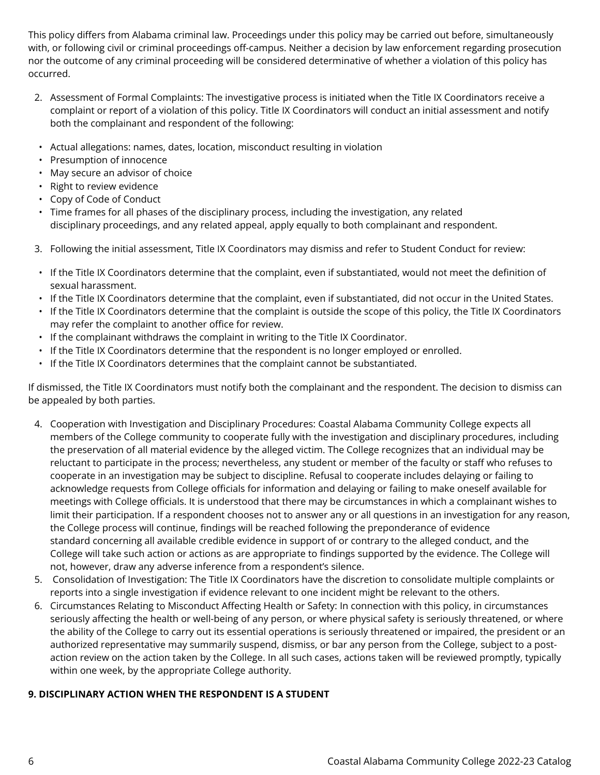This policy differs from Alabama criminal law. Proceedings under this policy may be carried out before, simultaneously with, or following civil or criminal proceedings off-campus. Neither a decision by law enforcement regarding prosecution nor the outcome of any criminal proceeding will be considered determinative of whether a violation of this policy has occurred.

- 2. Assessment of Formal Complaints: The investigative process is initiated when the Title IX Coordinators receive a complaint or report of a violation of this policy. Title IX Coordinators will conduct an initial assessment and notify both the complainant and respondent of the following:
- Actual allegations: names, dates, location, misconduct resulting in violation
- Presumption of innocence
- May secure an advisor of choice
- Right to review evidence
- Copy of Code of Conduct
- Time frames for all phases of the disciplinary process, including the investigation, any related disciplinary proceedings, and any related appeal, apply equally to both complainant and respondent.
- 3. Following the initial assessment, Title IX Coordinators may dismiss and refer to Student Conduct for review:
- If the Title IX Coordinators determine that the complaint, even if substantiated, would not meet the definition of sexual harassment.
- If the Title IX Coordinators determine that the complaint, even if substantiated, did not occur in the United States.
- If the Title IX Coordinators determine that the complaint is outside the scope of this policy, the Title IX Coordinators may refer the complaint to another office for review.
- If the complainant withdraws the complaint in writing to the Title IX Coordinator.
- If the Title IX Coordinators determine that the respondent is no longer employed or enrolled.
- If the Title IX Coordinators determines that the complaint cannot be substantiated.

If dismissed, the Title IX Coordinators must notify both the complainant and the respondent. The decision to dismiss can be appealed by both parties.

- 4. Cooperation with Investigation and Disciplinary Procedures: Coastal Alabama Community College expects all members of the College community to cooperate fully with the investigation and disciplinary procedures, including the preservation of all material evidence by the alleged victim. The College recognizes that an individual may be reluctant to participate in the process; nevertheless, any student or member of the faculty or staff who refuses to cooperate in an investigation may be subject to discipline. Refusal to cooperate includes delaying or failing to acknowledge requests from College officials for information and delaying or failing to make oneself available for meetings with College officials. It is understood that there may be circumstances in which a complainant wishes to limit their participation. If a respondent chooses not to answer any or all questions in an investigation for any reason, the College process will continue, findings will be reached following the preponderance of evidence standard concerning all available credible evidence in support of or contrary to the alleged conduct, and the College will take such action or actions as are appropriate to findings supported by the evidence. The College will not, however, draw any adverse inference from a respondent's silence.
- 5. Consolidation of Investigation: The Title IX Coordinators have the discretion to consolidate multiple complaints or reports into a single investigation if evidence relevant to one incident might be relevant to the others.
- 6. Circumstances Relating to Misconduct Affecting Health or Safety: In connection with this policy, in circumstances seriously affecting the health or well-being of any person, or where physical safety is seriously threatened, or where the ability of the College to carry out its essential operations is seriously threatened or impaired, the president or an authorized representative may summarily suspend, dismiss, or bar any person from the College, subject to a postaction review on the action taken by the College. In all such cases, actions taken will be reviewed promptly, typically within one week, by the appropriate College authority.

# **9. DISCIPLINARY ACTION WHEN THE RESPONDENT IS A STUDENT**